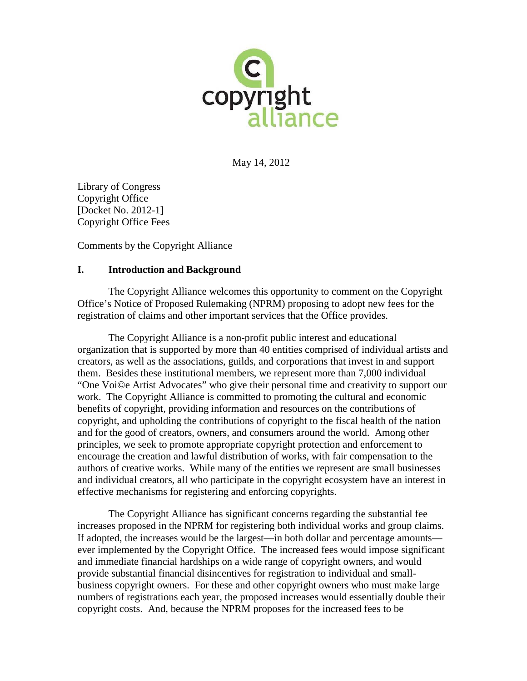

May 14, 2012

Library of Congress Copyright Office [Docket No. 2012-1] Copyright Office Fees

Comments by the Copyright Alliance

## **I. Introduction and Background**

The Copyright Alliance welcomes this opportunity to comment on the Copyright Office's Notice of Proposed Rulemaking (NPRM) proposing to adopt new fees for the registration of claims and other important services that the Office provides.

The Copyright Alliance is a non-profit public interest and educational organization that is supported by more than 40 entities comprised of individual artists and creators, as well as the associations, guilds, and corporations that invest in and support them. Besides these institutional members, we represent more than 7,000 individual "One Voi©e Artist Advocates" who give their personal time and creativity to support our work. The Copyright Alliance is committed to promoting the cultural and economic benefits of copyright, providing information and resources on the contributions of copyright, and upholding the contributions of copyright to the fiscal health of the nation and for the good of creators, owners, and consumers around the world. Among other principles, we seek to promote appropriate copyright protection and enforcement to encourage the creation and lawful distribution of works, with fair compensation to the authors of creative works. While many of the entities we represent are small businesses and individual creators, all who participate in the copyright ecosystem have an interest in effective mechanisms for registering and enforcing copyrights.

The Copyright Alliance has significant concerns regarding the substantial fee increases proposed in the NPRM for registering both individual works and group claims. If adopted, the increases would be the largest—in both dollar and percentage amounts ever implemented by the Copyright Office. The increased fees would impose significant and immediate financial hardships on a wide range of copyright owners, and would provide substantial financial disincentives for registration to individual and smallbusiness copyright owners. For these and other copyright owners who must make large numbers of registrations each year, the proposed increases would essentially double their copyright costs. And, because the NPRM proposes for the increased fees to be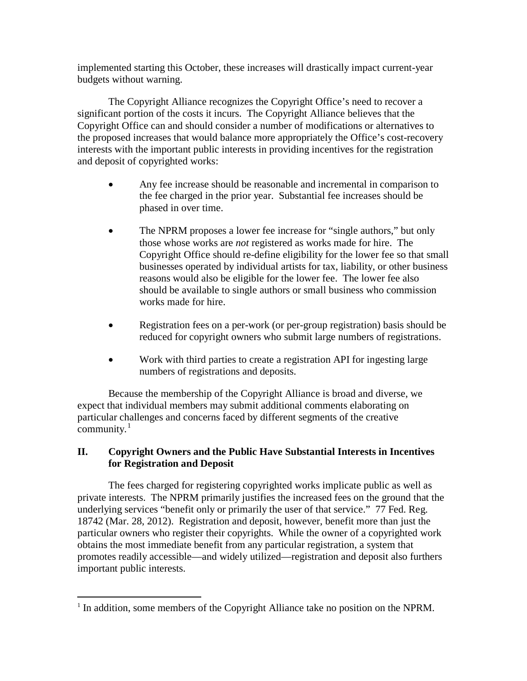implemented starting this October, these increases will drastically impact current-year budgets without warning.

The Copyright Alliance recognizes the Copyright Office's need to recover a significant portion of the costs it incurs. The Copyright Alliance believes that the Copyright Office can and should consider a number of modifications or alternatives to the proposed increases that would balance more appropriately the Office's cost-recovery interests with the important public interests in providing incentives for the registration and deposit of copyrighted works:

- Any fee increase should be reasonable and incremental in comparison to the fee charged in the prior year. Substantial fee increases should be phased in over time.
- The NPRM proposes a lower fee increase for "single authors," but only those whose works are *not* registered as works made for hire. The Copyright Office should re-define eligibility for the lower fee so that small businesses operated by individual artists for tax, liability, or other business reasons would also be eligible for the lower fee. The lower fee also should be available to single authors or small business who commission works made for hire.
- Registration fees on a per-work (or per-group registration) basis should be reduced for copyright owners who submit large numbers of registrations.
- Work with third parties to create a registration API for ingesting large numbers of registrations and deposits.

Because the membership of the Copyright Alliance is broad and diverse, we expect that individual members may submit additional comments elaborating on particular challenges and concerns faced by different segments of the creative community.<sup>[1](#page-1-0)</sup>

## **II. Copyright Owners and the Public Have Substantial Interests in Incentives for Registration and Deposit**

The fees charged for registering copyrighted works implicate public as well as private interests. The NPRM primarily justifies the increased fees on the ground that the underlying services "benefit only or primarily the user of that service." 77 Fed. Reg. 18742 (Mar. 28, 2012). Registration and deposit, however, benefit more than just the particular owners who register their copyrights. While the owner of a copyrighted work obtains the most immediate benefit from any particular registration, a system that promotes readily accessible—and widely utilized—registration and deposit also furthers important public interests.

<span id="page-1-0"></span> $<sup>1</sup>$  In addition, some members of the Copyright Alliance take no position on the NPRM.</sup>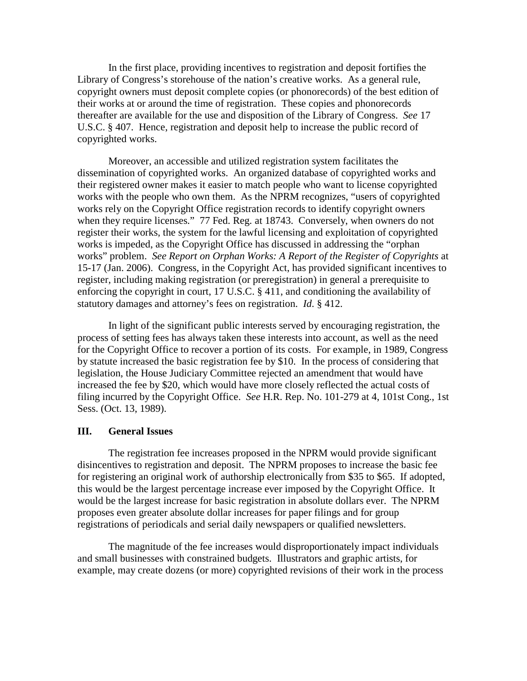In the first place, providing incentives to registration and deposit fortifies the Library of Congress's storehouse of the nation's creative works. As a general rule, copyright owners must deposit complete copies (or phonorecords) of the best edition of their works at or around the time of registration. These copies and phonorecords thereafter are available for the use and disposition of the Library of Congress. *See* 17 U.S.C. § 407. Hence, registration and deposit help to increase the public record of copyrighted works.

Moreover, an accessible and utilized registration system facilitates the dissemination of copyrighted works. An organized database of copyrighted works and their registered owner makes it easier to match people who want to license copyrighted works with the people who own them. As the NPRM recognizes, "users of copyrighted works rely on the Copyright Office registration records to identify copyright owners when they require licenses." 77 Fed. Reg. at 18743. Conversely, when owners do not register their works, the system for the lawful licensing and exploitation of copyrighted works is impeded, as the Copyright Office has discussed in addressing the "orphan works" problem. *See Report on Orphan Works: A Report of the Register of Copyrights* at 15-17 (Jan. 2006). Congress, in the Copyright Act, has provided significant incentives to register, including making registration (or preregistration) in general a prerequisite to enforcing the copyright in court, 17 U.S.C. § 411, and conditioning the availability of statutory damages and attorney's fees on registration. *Id*. § 412.

In light of the significant public interests served by encouraging registration, the process of setting fees has always taken these interests into account, as well as the need for the Copyright Office to recover a portion of its costs. For example, in 1989, Congress by statute increased the basic registration fee by \$10. In the process of considering that legislation, the House Judiciary Committee rejected an amendment that would have increased the fee by \$20, which would have more closely reflected the actual costs of filing incurred by the Copyright Office. *See* H.R. Rep. No. 101-279 at 4, 101st Cong., 1st Sess. (Oct. 13, 1989).

## **III. General Issues**

The registration fee increases proposed in the NPRM would provide significant disincentives to registration and deposit. The NPRM proposes to increase the basic fee for registering an original work of authorship electronically from \$35 to \$65. If adopted, this would be the largest percentage increase ever imposed by the Copyright Office. It would be the largest increase for basic registration in absolute dollars ever. The NPRM proposes even greater absolute dollar increases for paper filings and for group registrations of periodicals and serial daily newspapers or qualified newsletters.

The magnitude of the fee increases would disproportionately impact individuals and small businesses with constrained budgets. Illustrators and graphic artists, for example, may create dozens (or more) copyrighted revisions of their work in the process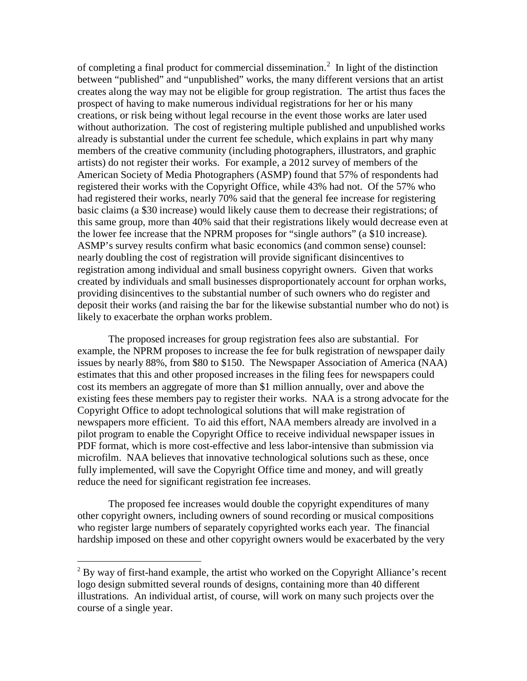of completing a final product for commercial dissemination.<sup>[2](#page-3-0)</sup> In light of the distinction between "published" and "unpublished" works, the many different versions that an artist creates along the way may not be eligible for group registration. The artist thus faces the prospect of having to make numerous individual registrations for her or his many creations, or risk being without legal recourse in the event those works are later used without authorization. The cost of registering multiple published and unpublished works already is substantial under the current fee schedule, which explains in part why many members of the creative community (including photographers, illustrators, and graphic artists) do not register their works. For example, a 2012 survey of members of the American Society of Media Photographers (ASMP) found that 57% of respondents had registered their works with the Copyright Office, while 43% had not. Of the 57% who had registered their works, nearly 70% said that the general fee increase for registering basic claims (a \$30 increase) would likely cause them to decrease their registrations; of this same group, more than 40% said that their registrations likely would decrease even at the lower fee increase that the NPRM proposes for "single authors" (a \$10 increase). ASMP's survey results confirm what basic economics (and common sense) counsel: nearly doubling the cost of registration will provide significant disincentives to registration among individual and small business copyright owners. Given that works created by individuals and small businesses disproportionately account for orphan works, providing disincentives to the substantial number of such owners who do register and deposit their works (and raising the bar for the likewise substantial number who do not) is likely to exacerbate the orphan works problem.

The proposed increases for group registration fees also are substantial. For example, the NPRM proposes to increase the fee for bulk registration of newspaper daily issues by nearly 88%, from \$80 to \$150. The Newspaper Association of America (NAA) estimates that this and other proposed increases in the filing fees for newspapers could cost its members an aggregate of more than \$1 million annually, over and above the existing fees these members pay to register their works. NAA is a strong advocate for the Copyright Office to adopt technological solutions that will make registration of newspapers more efficient. To aid this effort, NAA members already are involved in a pilot program to enable the Copyright Office to receive individual newspaper issues in PDF format, which is more cost-effective and less labor-intensive than submission via microfilm. NAA believes that innovative technological solutions such as these, once fully implemented, will save the Copyright Office time and money, and will greatly reduce the need for significant registration fee increases.

The proposed fee increases would double the copyright expenditures of many other copyright owners, including owners of sound recording or musical compositions who register large numbers of separately copyrighted works each year. The financial hardship imposed on these and other copyright owners would be exacerbated by the very

<span id="page-3-0"></span> $2^2$  By way of first-hand example, the artist who worked on the Copyright Alliance's recent logo design submitted several rounds of designs, containing more than 40 different illustrations. An individual artist, of course, will work on many such projects over the course of a single year.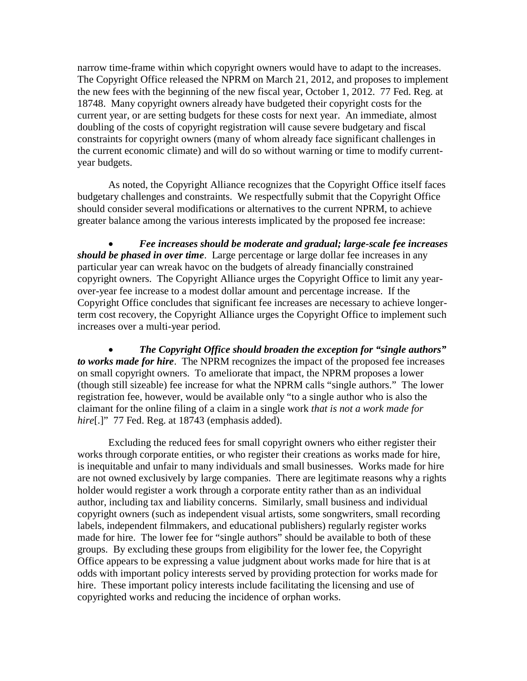narrow time-frame within which copyright owners would have to adapt to the increases. The Copyright Office released the NPRM on March 21, 2012, and proposes to implement the new fees with the beginning of the new fiscal year, October 1, 2012. 77 Fed. Reg. at 18748. Many copyright owners already have budgeted their copyright costs for the current year, or are setting budgets for these costs for next year. An immediate, almost doubling of the costs of copyright registration will cause severe budgetary and fiscal constraints for copyright owners (many of whom already face significant challenges in the current economic climate) and will do so without warning or time to modify currentyear budgets.

As noted, the Copyright Alliance recognizes that the Copyright Office itself faces budgetary challenges and constraints. We respectfully submit that the Copyright Office should consider several modifications or alternatives to the current NPRM, to achieve greater balance among the various interests implicated by the proposed fee increase:

• *Fee increases should be moderate and gradual; large-scale fee increases should be phased in over time*. Large percentage or large dollar fee increases in any particular year can wreak havoc on the budgets of already financially constrained copyright owners. The Copyright Alliance urges the Copyright Office to limit any yearover-year fee increase to a modest dollar amount and percentage increase. If the Copyright Office concludes that significant fee increases are necessary to achieve longerterm cost recovery, the Copyright Alliance urges the Copyright Office to implement such increases over a multi-year period.

• *The Copyright Office should broaden the exception for "single authors" to works made for hire*. The NPRM recognizes the impact of the proposed fee increases on small copyright owners. To ameliorate that impact, the NPRM proposes a lower (though still sizeable) fee increase for what the NPRM calls "single authors." The lower registration fee, however, would be available only "to a single author who is also the claimant for the online filing of a claim in a single work *that is not a work made for*  hire<sup>[.]"</sup> 77 Fed. Reg. at 18743 (emphasis added).

Excluding the reduced fees for small copyright owners who either register their works through corporate entities, or who register their creations as works made for hire, is inequitable and unfair to many individuals and small businesses. Works made for hire are not owned exclusively by large companies. There are legitimate reasons why a rights holder would register a work through a corporate entity rather than as an individual author, including tax and liability concerns. Similarly, small business and individual copyright owners (such as independent visual artists, some songwriters, small recording labels, independent filmmakers, and educational publishers) regularly register works made for hire. The lower fee for "single authors" should be available to both of these groups. By excluding these groups from eligibility for the lower fee, the Copyright Office appears to be expressing a value judgment about works made for hire that is at odds with important policy interests served by providing protection for works made for hire. These important policy interests include facilitating the licensing and use of copyrighted works and reducing the incidence of orphan works.